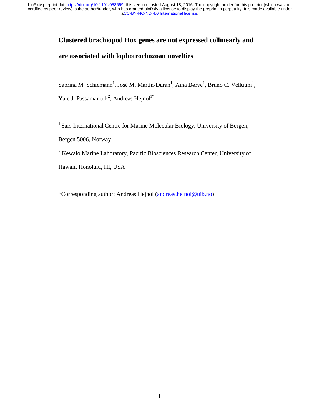## **Clustered brachiopod Hox genes are not expressed collinearly and**

# **are associated with lophotrochozoan novelties**

Sabrina M. Schiemann<sup>1</sup>, José M. Martín-Durán<sup>1</sup>, Aina Børve<sup>1</sup>, Bruno C. Vellutini<sup>1</sup>,

Yale J. Passamaneck<sup>2</sup>, Andreas Hejnol<sup>1\*</sup>

<sup>1</sup> Sars International Centre for Marine Molecular Biology, University of Bergen,

Bergen 5006, Norway

<sup>2</sup> Kewalo Marine Laboratory, Pacific Biosciences Research Center, University of

Hawaii, Honolulu, HI, USA

\*Corresponding author: Andreas Hejnol (andreas.hejnol@uib.no)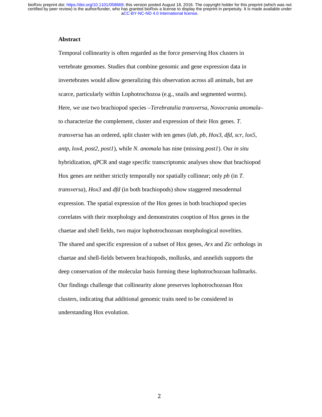## **Abstract**

Temporal collinearity is often regarded as the force preserving Hox clusters in vertebrate genomes. Studies that combine genomic and gene expression data in invertebrates would allow generalizing this observation across all animals, but are scarce, particularly within Lophotrochozoa (e.g., snails and segmented worms). Here, we use two brachiopod species –*Terebratalia transversa*, *Novocrania anomala*– to characterize the complement, cluster and expression of their Hox genes. *T. transversa* has an ordered, split cluster with ten genes (*lab*, *pb*, *Hox3*, *dfd*, *scr*, *lox5*, *antp*, *lox4*, *post2*, *post1*), while *N. anomala* has nine (missing *post1*). Our *in situ*  hybridization, qPCR and stage specific transcriptomic analyses show that brachiopod Hox genes are neither strictly temporally nor spatially collinear; only *pb* (in *T. transversa*), *Hox3* and *dfd* (in both brachiopods) show staggered mesodermal expression. The spatial expression of the Hox genes in both brachiopod species correlates with their morphology and demonstrates cooption of Hox genes in the chaetae and shell fields, two major lophotrochozoan morphological novelties. The shared and specific expression of a subset of Hox genes, *Arx* and *Zic* orthologs in chaetae and shell-fields between brachiopods, mollusks, and annelids supports the deep conservation of the molecular basis forming these lophotrochozoan hallmarks. Our findings challenge that collinearity alone preserves lophotrochozoan Hox clusters, indicating that additional genomic traits need to be considered in understanding Hox evolution.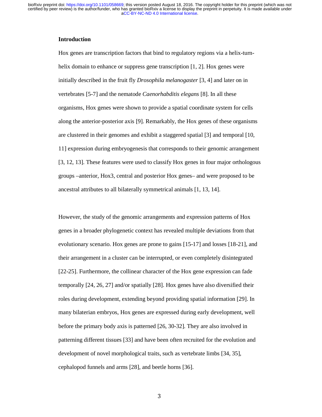## **Introduction**

Hox genes are transcription factors that bind to regulatory regions via a helix-turnhelix domain to enhance or suppress gene transcription [1, 2]. Hox genes were initially described in the fruit fly *Drosophila melanogaster* [3, 4] and later on in vertebrates [5-7] and the nematode *Caenorhabditis elegans* [8]. In all these organisms, Hox genes were shown to provide a spatial coordinate system for cells along the anterior-posterior axis [9]. Remarkably, the Hox genes of these organisms are clustered in their genomes and exhibit a staggered spatial [3] and temporal [10, 11] expression during embryogenesis that corresponds to their genomic arrangement [3, 12, 13]. These features were used to classify Hox genes in four major orthologous groups –anterior, Hox3, central and posterior Hox genes– and were proposed to be ancestral attributes to all bilaterally symmetrical animals [1, 13, 14].

However, the study of the genomic arrangements and expression patterns of Hox genes in a broader phylogenetic context has revealed multiple deviations from that evolutionary scenario. Hox genes are prone to gains [15-17] and losses [18-21], and their arrangement in a cluster can be interrupted, or even completely disintegrated [22-25]. Furthermore, the collinear character of the Hox gene expression can fade temporally [24, 26, 27] and/or spatially [28]. Hox genes have also diversified their roles during development, extending beyond providing spatial information [29]. In many bilaterian embryos, Hox genes are expressed during early development, well before the primary body axis is patterned [26, 30-32]. They are also involved in patterning different tissues [33] and have been often recruited for the evolution and development of novel morphological traits, such as vertebrate limbs [34, 35], cephalopod funnels and arms [28], and beetle horns [36].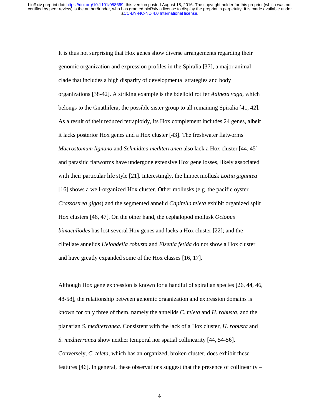It is thus not surprising that Hox genes show diverse arrangements regarding their genomic organization and expression profiles in the Spiralia [37], a major animal clade that includes a high disparity of developmental strategies and body organizations [38-42]. A striking example is the bdelloid rotifer *Adineta vaga,* which belongs to the Gnathifera, the possible sister group to all remaining Spiralia [41, 42]. As a result of their reduced tetraploidy, its Hox complement includes 24 genes, albeit it lacks posterior Hox genes and a Hox cluster [43]. The freshwater flatworms *Macrostomum lignano* and *Schmidtea mediterranea* also lack a Hox cluster [44, 45] and parasitic flatworms have undergone extensive Hox gene losses, likely associated with their particular life style [21]. Interestingly, the limpet mollusk *Lottia gigantea* [16] shows a well-organized Hox cluster. Other mollusks (e.g. the pacific oyster *Crassostrea gigas*) and the segmented annelid *Capitella teleta* exhibit organized split Hox clusters [46, 47]. On the other hand, the cephalopod mollusk *Octopus bimaculiodes* has lost several Hox genes and lacks a Hox cluster [22]; and the clitellate annelids *Helobdella robusta* and *Eisenia fetida* do not show a Hox cluster and have greatly expanded some of the Hox classes [16, 17].

Although Hox gene expression is known for a handful of spiralian species [26, 44, 46, 48-58], the relationship between genomic organization and expression domains is known for only three of them, namely the annelids *C. teleta* and *H. robusta*, and the planarian *S. mediterranea*. Consistent with the lack of a Hox cluster, *H. robusta* and *S. mediterranea* show neither temporal nor spatial collinearity [44, 54-56]. Conversely, *C. teleta*, which has an organized, broken cluster, does exhibit these features [46]. In general, these observations suggest that the presence of collinearity –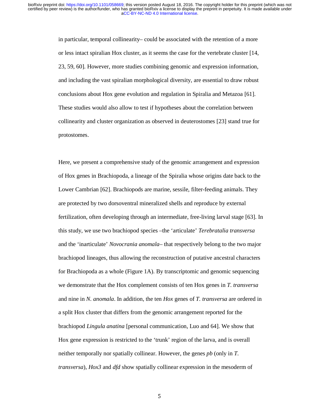in particular, temporal collinearity– could be associated with the retention of a more or less intact spiralian Hox cluster, as it seems the case for the vertebrate cluster [14, 23, 59, 60]. However, more studies combining genomic and expression information, and including the vast spiralian morphological diversity, are essential to draw robust conclusions about Hox gene evolution and regulation in Spiralia and Metazoa [61]. These studies would also allow to test if hypotheses about the correlation between collinearity and cluster organization as observed in deuterostomes [23] stand true for protostomes.

Here, we present a comprehensive study of the genomic arrangement and expression of Hox genes in Brachiopoda, a lineage of the Spiralia whose origins date back to the Lower Cambrian [62]. Brachiopods are marine, sessile, filter-feeding animals. They are protected by two dorsoventral mineralized shells and reproduce by external fertilization, often developing through an intermediate, free-living larval stage [63]. In this study, we use two brachiopod species –the 'articulate' *Terebratalia transversa* and the 'inarticulate' *Novocrania anomala*– that respectively belong to the two major brachiopod lineages, thus allowing the reconstruction of putative ancestral characters for Brachiopoda as a whole (Figure 1A). By transcriptomic and genomic sequencing we demonstrate that the Hox complement consists of ten Hox genes in *T. transversa* and nine in *N. anomala*. In addition, the ten *Hox* genes of *T. transversa* are ordered in a split Hox cluster that differs from the genomic arrangement reported for the brachiopod *Lingula anatina* [personal communication, Luo and 64]. We show that Hox gene expression is restricted to the 'trunk' region of the larva, and is overall neither temporally nor spatially collinear. However, the genes *pb* (only in *T. transversa*), *Hox3* and *dfd* show spatially collinear expression in the mesoderm of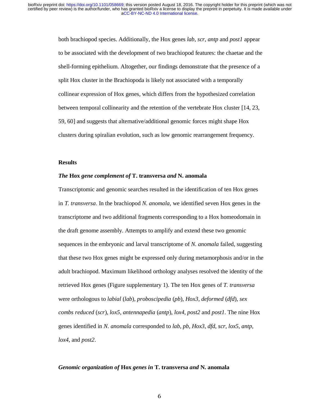both brachiopod species. Additionally, the Hox genes *lab*, *scr*, *antp* and *post1* appear to be associated with the development of two brachiopod features: the chaetae and the shell-forming epithelium. Altogether, our findings demonstrate that the presence of a split Hox cluster in the Brachiopoda is likely not associated with a temporally collinear expression of Hox genes, which differs from the hypothesized correlation between temporal collinearity and the retention of the vertebrate Hox cluster [14, 23, 59, 60] and suggests that alternative/additional genomic forces might shape Hox clusters during spiralian evolution, such as low genomic rearrangement frequency.

## **Results**

#### *The* **Hox** *gene complement of* **T. transversa** *and* **N. anomala**

Transcriptomic and genomic searches resulted in the identification of ten Hox genes in *T. transversa*. In the brachiopod *N. anomala*, we identified seven Hox genes in the transcriptome and two additional fragments corresponding to a Hox homeodomain in the draft genome assembly. Attempts to amplify and extend these two genomic sequences in the embryonic and larval transcriptome of *N. anomala* failed, suggesting that these two Hox genes might be expressed only during metamorphosis and/or in the adult brachiopod. Maximum likelihood orthology analyses resolved the identity of the retrieved Hox genes (Figure supplementary 1). The ten Hox genes of *T. transversa* were orthologous to *labial* (*lab*), *proboscipedia* (*pb*), *Hox3*, *deformed* (*dfd*), *sex combs reduced* (*scr*), *lox5*, *antennapedia* (*antp*), *lox4*, *post2* and *post1*. The nine Hox genes identified in *N. anomala* corresponded to *lab*, *pb*, *Hox3*, *dfd*, *scr*, *lox5*, *antp*, *lox4*, and *post2*.

#### *Genomic organization of* **Hox** *genes in* **T. transversa** *and* **N. anomala**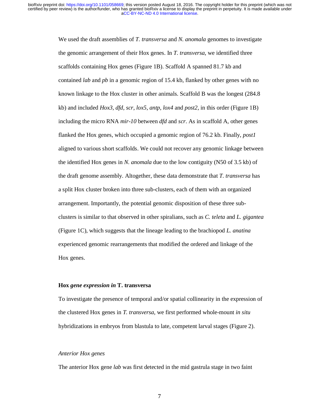We used the draft assemblies of *T. transversa* and *N. anomala* genomes to investigate the genomic arrangement of their Hox genes. In *T. transversa*, we identified three scaffolds containing Hox genes (Figure 1B). Scaffold A spanned 81.7 kb and contained *lab* and *pb* in a genomic region of 15.4 kb, flanked by other genes with no known linkage to the Hox cluster in other animals. Scaffold B was the longest (284.8 kb) and included *Hox3*, *dfd*, *scr*, *lox5*, *antp*, *lox4* and *post2*, in this order (Figure 1B) including the micro RNA *mir-10* between *dfd* and *scr*. As in scaffold A, other genes flanked the Hox genes, which occupied a genomic region of 76.2 kb. Finally, *post1* aligned to various short scaffolds. We could not recover any genomic linkage between the identified Hox genes in *N. anomala* due to the low contiguity (N50 of 3.5 kb) of the draft genome assembly. Altogether, these data demonstrate that *T. transversa* has a split Hox cluster broken into three sub-clusters, each of them with an organized arrangement. Importantly, the potential genomic disposition of these three subclusters is similar to that observed in other spiralians, such as *C. teleta* and *L. gigantea* (Figure 1C), which suggests that the lineage leading to the brachiopod *L. anatina* experienced genomic rearrangements that modified the ordered and linkage of the Hox genes.

#### **Hox** *gene expression in* **T. transversa**

To investigate the presence of temporal and/or spatial collinearity in the expression of the clustered Hox genes in *T. transversa*, we first performed whole-mount *in situ* hybridizations in embryos from blastula to late, competent larval stages (Figure 2).

## *Anterior Hox genes*

The anterior Hox gene *lab* was first detected in the mid gastrula stage in two faint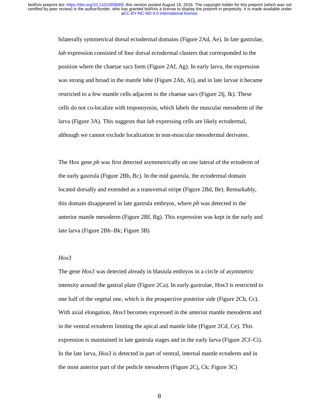bilaterally symmetrical dorsal ectodermal domains (Figure 2Ad, Ae). In late gastrulae, *lab* expression consisted of four dorsal ectodermal clusters that corresponded to the position where the chaetae sacs form (Figure 2Af, Ag). In early larva, the expression was strong and broad in the mantle lobe (Figure 2Ah, Ai), and in late larvae it became restricted to a few mantle cells adjacent to the chaetae sacs (Figure 2Ij, Ik). These cells do not co-localize with tropomyosin, which labels the muscular mesoderm of the larva (Figure 3A). This suggests that *lab* expressing cells are likely ectodermal, although we cannot exclude localization in non-muscular mesodermal derivates.

The Hox gene *pb* was first detected asymmetrically on one lateral of the ectoderm of the early gastrula (Figure 2Bb, Bc). In the mid gastrula, the ectodermal domain located dorsally and extended as a transversal stripe (Figure 2Bd, Be). Remarkably, this domain disappeared in late gastrula embryos, where *pb* was detected in the anterior mantle mesoderm (Figure 2Bf, Bg). This expression was kept in the early and late larva (Figure 2Bh–Bk; Figure 3B)

## *Hox3*

The gene *Hox3* was detected already in blastula embryos in a circle of asymmetric intensity around the gastral plate (Figure  $2Ca$ ). In early gastrulae, Hox3 is restricted to one half of the vegetal one, which is the prospective posterior side (Figure 2Cb, Cc). With axial elongation, *Hox3* becomes expressed in the anterior mantle mesoderm and in the ventral ectoderm limiting the apical and mantle lobe (Figure 2Cd, Ce). This expression is maintained in late gastrula stages and in the early larva (Figure 2Cf–Ci). In the late larva, *Hox3* is detected in part of ventral, internal mantle ectoderm and in the most anterior part of the pedicle mesoderm (Figure 2Cj, Ck; Figure 3C)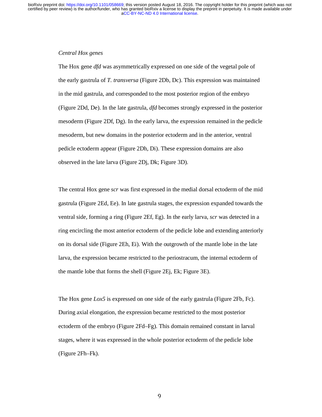## *Central Hox genes*

The Hox gene *dfd* was asymmetrically expressed on one side of the vegetal pole of the early gastrula of *T. transversa* (Figure 2Db, Dc). This expression was maintained in the mid gastrula, and corresponded to the most posterior region of the embryo (Figure 2Dd, De). In the late gastrula, *dfd* becomes strongly expressed in the posterior mesoderm (Figure 2Df, Dg). In the early larva, the expression remained in the pedicle mesoderm, but new domains in the posterior ectoderm and in the anterior, ventral pedicle ectoderm appear (Figure 2Dh, Di). These expression domains are also observed in the late larva (Figure 2Dj, Dk; Figure 3D).

The central Hox gene *scr* was first expressed in the medial dorsal ectoderm of the mid gastrula (Figure 2Ed, Ee). In late gastrula stages, the expression expanded towards the ventral side, forming a ring (Figure 2Ef, Eg). In the early larva, *scr* was detected in a ring encircling the most anterior ectoderm of the pedicle lobe and extending anteriorly on its dorsal side (Figure 2Eh, Ei). With the outgrowth of the mantle lobe in the late larva, the expression became restricted to the periostracum, the internal ectoderm of the mantle lobe that forms the shell (Figure 2Ej, Ek; Figure 3E).

The Hox gene *Lox5* is expressed on one side of the early gastrula (Figure 2Fb, Fc). During axial elongation, the expression became restricted to the most posterior ectoderm of the embryo (Figure 2Fd–Fg). This domain remained constant in larval stages, where it was expressed in the whole posterior ectoderm of the pedicle lobe (Figure 2Fh–Fk).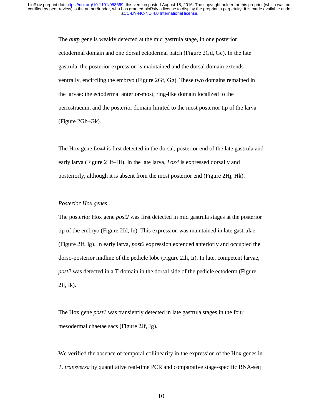The *antp* gene is weakly detected at the mid gastrula stage, in one posterior ectodermal domain and one dorsal ectodermal patch (Figure 2Gd, Ge). In the late gastrula, the posterior expression is maintained and the dorsal domain extends ventrally, encircling the embryo (Figure 2Gf, Gg). These two domains remained in the larvae: the ectodermal anterior-most, ring-like domain localized to the periostracum, and the posterior domain limited to the most posterior tip of the larva (Figure 2Gh–Gk).

The Hox gene *Lox4* is first detected in the dorsal, posterior end of the late gastrula and early larva (Figure 2Hf–Hi). In the late larva, *Lox4* is expressed dorsally and posteriorly, although it is absent from the most posterior end (Figure 2Hj, Hk).

## *Posterior Hox genes*

The posterior Hox gene *post2* was first detected in mid gastrula stages at the posterior tip of the embryo (Figure 2Id, Ie). This expression was maintained in late gastrulae (Figure 2If, Ig). In early larva, *post2* expression extended anteriorly and occupied the dorso-posterior midline of the pedicle lobe (Figure 2Ih, Ii). In late, competent larvae, *post2* was detected in a T-domain in the dorsal side of the pedicle ectoderm (Figure  $2Ij, lk$ ).

The Hox gene *post1* was transiently detected in late gastrula stages in the four mesodermal chaetae sacs (Figure 2Jf, Jg).

We verified the absence of temporal collinearity in the expression of the Hox genes in *T. transversa* by quantitative real-time PCR and comparative stage-specific RNA-seq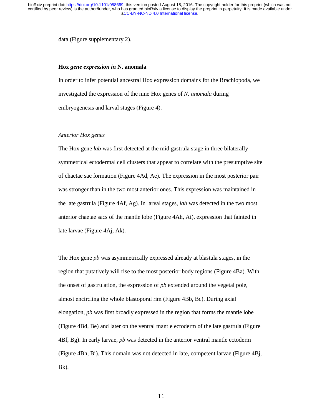data (Figure supplementary 2).

### **Hox** *gene expression in* **N. anomala**

In order to infer potential ancestral Hox expression domains for the Brachiopoda, we investigated the expression of the nine Hox genes of *N. anomala* during embryogenesis and larval stages (Figure 4).

#### *Anterior Hox genes*

The Hox gene *lab* was first detected at the mid gastrula stage in three bilaterally symmetrical ectodermal cell clusters that appear to correlate with the presumptive site of chaetae sac formation (Figure 4Ad, Ae). The expression in the most posterior pair was stronger than in the two most anterior ones. This expression was maintained in the late gastrula (Figure 4Af, Ag). In larval stages, *lab* was detected in the two most anterior chaetae sacs of the mantle lobe (Figure 4Ah, Ai), expression that fainted in late larvae (Figure 4Aj, Ak).

The Hox gene *pb* was asymmetrically expressed already at blastula stages, in the region that putatively will rise to the most posterior body regions (Figure 4Ba). With the onset of gastrulation, the expression of *pb* extended around the vegetal pole, almost encircling the whole blastoporal rim (Figure 4Bb, Bc). During axial elongation, *pb* was first broadly expressed in the region that forms the mantle lobe (Figure 4Bd, Be) and later on the ventral mantle ectoderm of the late gastrula (Figure 4Bf, Bg). In early larvae, *pb* was detected in the anterior ventral mantle ectoderm (Figure 4Bh, Bi). This domain was not detected in late, competent larvae (Figure 4Bj, Bk).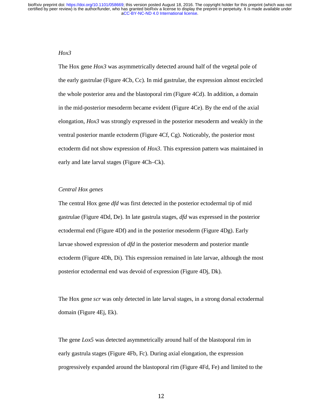## *Hox3*

The Hox gene *Hox3* was asymmetrically detected around half of the vegetal pole of the early gastrulae (Figure 4Cb, Cc). In mid gastrulae, the expression almost encircled the whole posterior area and the blastoporal rim (Figure 4Cd). In addition, a domain in the mid-posterior mesoderm became evident (Figure 4Ce). By the end of the axial elongation, *Hox3* was strongly expressed in the posterior mesoderm and weakly in the ventral posterior mantle ectoderm (Figure 4Cf, Cg). Noticeably, the posterior most ectoderm did not show expression of *Hox3*. This expression pattern was maintained in early and late larval stages (Figure 4Ch–Ck).

## *Central Hox genes*

The central Hox gene *dfd* was first detected in the posterior ectodermal tip of mid gastrulae (Figure 4Dd, De). In late gastrula stages, *dfd* was expressed in the posterior ectodermal end (Figure 4Df) and in the posterior mesoderm (Figure 4Dg). Early larvae showed expression of *dfd* in the posterior mesoderm and posterior mantle ectoderm (Figure 4Dh, Di). This expression remained in late larvae, although the most posterior ectodermal end was devoid of expression (Figure 4Dj, Dk).

The Hox gene *scr* was only detected in late larval stages, in a strong dorsal ectodermal domain (Figure 4Ej, Ek).

The gene *Lox5* was detected asymmetrically around half of the blastoporal rim in early gastrula stages (Figure 4Fb, Fc). During axial elongation, the expression progressively expanded around the blastoporal rim (Figure 4Fd, Fe) and limited to the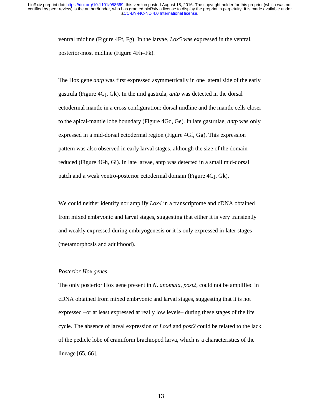ventral midline (Figure 4Ff, Fg). In the larvae, *Lox5* was expressed in the ventral, posterior-most midline (Figure 4Fh–Fk).

The Hox gene *antp* was first expressed asymmetrically in one lateral side of the early gastrula (Figure 4Gj, Gk). In the mid gastrula, *antp* was detected in the dorsal ectodermal mantle in a cross configuration: dorsal midline and the mantle cells closer to the apical-mantle lobe boundary (Figure 4Gd, Ge). In late gastrulae, *antp* was only expressed in a mid-dorsal ectodermal region (Figure 4Gf, Gg). This expression pattern was also observed in early larval stages, although the size of the domain reduced (Figure 4Gh, Gi). In late larvae, antp was detected in a small mid-dorsal patch and a weak ventro-posterior ectodermal domain (Figure 4Gj, Gk).

We could neither identify nor amplify *Lox4* in a transcriptome and cDNA obtained from mixed embryonic and larval stages, suggesting that either it is very transiently and weakly expressed during embryogenesis or it is only expressed in later stages (metamorphosis and adulthood).

#### *Posterior Hox genes*

The only posterior Hox gene present in *N. anomala*, *post2*, could not be amplified in cDNA obtained from mixed embryonic and larval stages, suggesting that it is not expressed –or at least expressed at really low levels– during these stages of the life cycle. The absence of larval expression of *Lox4* and *post2* could be related to the lack of the pedicle lobe of craniiform brachiopod larva, which is a characteristics of the lineage [65, 66].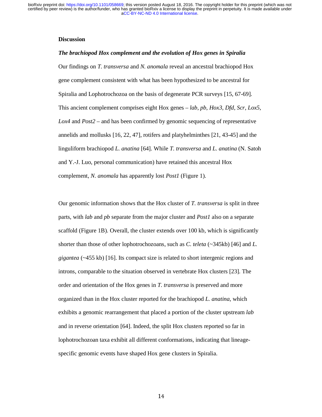## **Discussion**

#### *The brachiopod Hox complement and the evolution of Hox genes in Spiralia*

Our findings on *T. transversa* and *N. anomala* reveal an ancestral brachiopod Hox gene complement consistent with what has been hypothesized to be ancestral for Spiralia and Lophotrochozoa on the basis of degenerate PCR surveys [15, 67-69]. This ancient complement comprises eight Hox genes – *lab*, *pb*, *Hox3*, *Dfd*, *Scr*, *Lox5*, *Lox4* and *Post2* – and has been confirmed by genomic sequencing of representative annelids and mollusks [16, 22, 47], rotifers and platyhelminthes [21, 43-45] and the linguliform brachiopod *L. anatina* [64]. While *T. transversa* and *L. anatina* (N. Satoh and Y.-J. Luo, personal communication) have retained this ancestral Hox complement, *N. anomala* has apparently lost *Post1* (Figure 1).

Our genomic information shows that the Hox cluster of *T. transversa* is split in three parts, with *lab* and *pb* separate from the major cluster and *Post1* also on a separate scaffold (Figure 1B). Overall, the cluster extends over 100 kb, which is significantly shorter than those of other lophotrochozoans, such as *C. teleta* (~345kb) [46] and *L. gigantea* (~455 kb) [16]. Its compact size is related to short intergenic regions and introns, comparable to the situation observed in vertebrate Hox clusters [23]. The order and orientation of the Hox genes in *T. transversa* is preserved and more organized than in the Hox cluster reported for the brachiopod *L. anatina*, which exhibits a genomic rearrangement that placed a portion of the cluster upstream *lab* and in reverse orientation [64]. Indeed, the split Hox clusters reported so far in lophotrochozoan taxa exhibit all different conformations, indicating that lineagespecific genomic events have shaped Hox gene clusters in Spiralia.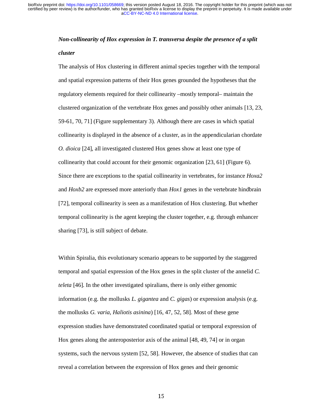# *Non-collinearity of Hox expression in T. transversa despite the presence of a split cluster*

The analysis of Hox clustering in different animal species together with the temporal and spatial expression patterns of their Hox genes grounded the hypotheses that the regulatory elements required for their collinearity –mostly temporal– maintain the clustered organization of the vertebrate Hox genes and possibly other animals [13, 23, 59-61, 70, 71] (Figure supplementary 3). Although there are cases in which spatial collinearity is displayed in the absence of a cluster, as in the appendicularian chordate *O. dioica* [24], all investigated clustered Hox genes show at least one type of collinearity that could account for their genomic organization [23, 61] (Figure 6). Since there are exceptions to the spatial collinearity in vertebrates, for instance *Hoxa2* and *Hoxb2* are expressed more anteriorly than *Hox1* genes in the vertebrate hindbrain [72], temporal collinearity is seen as a manifestation of Hox clustering. But whether temporal collinearity is the agent keeping the cluster together, e.g. through enhancer sharing [73], is still subject of debate.

Within Spiralia, this evolutionary scenario appears to be supported by the staggered temporal and spatial expression of the Hox genes in the split cluster of the annelid *C. teleta* [46]. In the other investigated spiralians, there is only either genomic information (e.g. the mollusks *L. gigantea* and *C. gigas*) or expression analysis (e.g. the mollusks *G. varia*, *Haliotis asinina*) [16, 47, 52, 58]. Most of these gene expression studies have demonstrated coordinated spatial or temporal expression of Hox genes along the anteroposterior axis of the animal [48, 49, 74] or in organ systems, such the nervous system [52, 58]. However, the absence of studies that can reveal a correlation between the expression of Hox genes and their genomic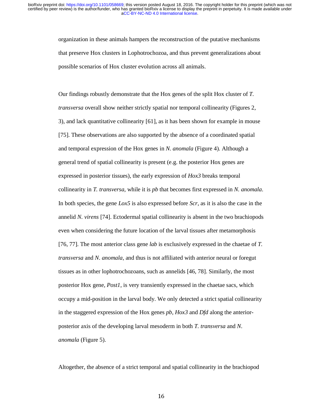organization in these animals hampers the reconstruction of the putative mechanisms that preserve Hox clusters in Lophotrochozoa, and thus prevent generalizations about possible scenarios of Hox cluster evolution across all animals.

Our findings robustly demonstrate that the Hox genes of the split Hox cluster of *T. transversa* overall show neither strictly spatial nor temporal collinearity (Figures 2, 3), and lack quantitative collinearity [61], as it has been shown for example in mouse [75]. These observations are also supported by the absence of a coordinated spatial and temporal expression of the Hox genes in *N. anomala* (Figure 4). Although a general trend of spatial collinearity is present (e.g. the posterior Hox genes are expressed in posterior tissues), the early expression of *Hox3* breaks temporal collinearity in *T. transversa*, while it is *pb* that becomes first expressed in *N. anomala*. In both species, the gene *Lox5* is also expressed before *Scr*, as it is also the case in the annelid *N. virens* [74]. Ectodermal spatial collinearity is absent in the two brachiopods even when considering the future location of the larval tissues after metamorphosis [76, 77]. The most anterior class gene *lab* is exclusively expressed in the chaetae of *T. transversa* and *N. anomala*, and thus is not affiliated with anterior neural or foregut tissues as in other lophotrochozoans, such as annelids [46, 78]. Similarly, the most posterior Hox gene, *Post1*, is very transiently expressed in the chaetae sacs, which occupy a mid-position in the larval body. We only detected a strict spatial collinearity in the staggered expression of the Hox genes *pb*, *Hox3* and *Dfd* along the anteriorposterior axis of the developing larval mesoderm in both *T. transversa* and *N. anomala* (Figure 5).

Altogether, the absence of a strict temporal and spatial collinearity in the brachiopod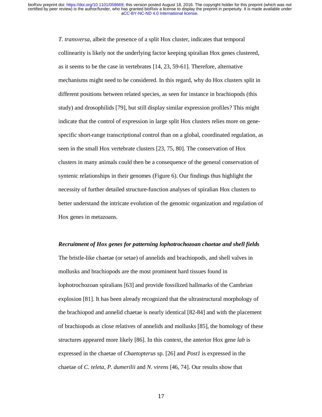*T. transversa*, albeit the presence of a split Hox cluster, indicates that temporal collinearity is likely not the underlying factor keeping spiralian Hox genes clustered, as it seems to be the case in vertebrates [14, 23, 59-61]. Therefore, alternative mechanisms might need to be considered. In this regard, why do Hox clusters split in different positions between related species, as seen for instance in brachiopods (this study) and drosophilids [79], but still display similar expression profiles? This might indicate that the control of expression in large split Hox clusters relies more on genespecific short-range transcriptional control than on a global, coordinated regulation, as seen in the small Hox vertebrate clusters [23, 75, 80]. The conservation of Hox clusters in many animals could then be a consequence of the general conservation of syntenic relationships in their genomes (Figure 6). Our findings thus highlight the necessity of further detailed structure-function analyses of spiralian Hox clusters to better understand the intricate evolution of the genomic organization and regulation of Hox genes in metazoans.

#### *Recruitment of Hox genes for patterning lophotrochozoan chaetae and shell fields*

The bristle-like chaetae (or setae) of annelids and brachiopods, and shell valves in mollusks and brachiopods are the most prominent hard tissues found in lophotrochozoan spiralians [63] and provide fossilized hallmarks of the Cambrian explosion [81]. It has been already recognized that the ultrastructural morphology of the brachiopod and annelid chaetae is nearly identical [82-84] and with the placement of brachiopods as close relatives of annelids and mollusks [85], the homology of these structures appeared more likely [86]. In this context, the anterior Hox gene *lab* is expressed in the chaetae of *Chaetopterus* sp. [26] and *Post1* is expressed in the chaetae of *C. teleta*, *P. dumerilii* and *N. virens* [46, 74]. Our results show that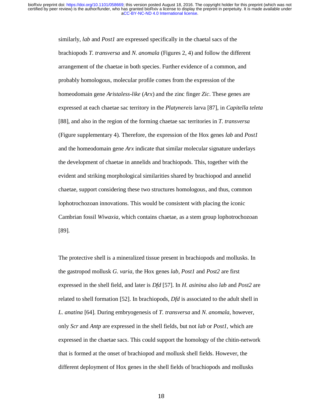similarly, *lab* and *Post1* are expressed specifically in the chaetal sacs of the brachiopods *T. transversa* and *N. anomala* (Figures 2, 4) and follow the different arrangement of the chaetae in both species. Further evidence of a common, and probably homologous, molecular profile comes from the expression of the homeodomain gene *Aristaless-like* (*Arx*) and the zinc finger *Zic*. These genes are expressed at each chaetae sac territory in the *Platynereis* larva [87], in *Capitella teleta* [88], and also in the region of the forming chaetae sac territories in *T. transversa* (Figure supplementary 4)*.* Therefore, the expression of the Hox genes *lab* and *Post1* and the homeodomain gene *Arx* indicate that similar molecular signature underlays the development of chaetae in annelids and brachiopods. This, together with the evident and striking morphological similarities shared by brachiopod and annelid chaetae, support considering these two structures homologous, and thus, common lophotrochozoan innovations. This would be consistent with placing the iconic Cambrian fossil *Wiwaxia*, which contains chaetae, as a stem group lophotrochozoan [89].

The protective shell is a mineralized tissue present in brachiopods and mollusks. In the gastropod mollusk *G. varia*, the Hox genes *lab*, *Post1* and *Post2* are first expressed in the shell field, and later is *Dfd* [57]. In *H. asinina* also *lab* and *Post2* are related to shell formation [52]. In brachiopods, *Dfd* is associated to the adult shell in *L. anatina* [64]. During embryogenesis of *T. transversa* and *N. anomala*, however, only *Scr* and *Antp* are expressed in the shell fields, but not *lab* or *Post1*, which are expressed in the chaetae sacs. This could support the homology of the chitin-network that is formed at the onset of brachiopod and mollusk shell fields. However, the different deployment of Hox genes in the shell fields of brachiopods and mollusks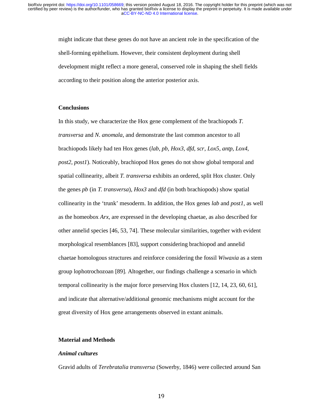might indicate that these genes do not have an ancient role in the specification of the shell-forming epithelium. However, their consistent deployment during shell development might reflect a more general, conserved role in shaping the shell fields according to their position along the anterior posterior axis.

## **Conclusions**

In this study, we characterize the Hox gene complement of the brachiopods *T. transversa* and *N. anomala*, and demonstrate the last common ancestor to all brachiopods likely had ten Hox genes (*lab*, *pb*, *Hox3*, *dfd*, *scr*, *Lox5*, *antp*, *Lox4*, *post2*, *post1*). Noticeably, brachiopod Hox genes do not show global temporal and spatial collinearity, albeit *T. transversa* exhibits an ordered, split Hox cluster. Only the genes *pb* (in *T. transversa*), *Hox3* and *dfd* (in both brachiopods) show spatial collinearity in the 'trunk' mesoderm. In addition, the Hox genes *lab* and *post1*, as well as the homeobox *Arx*, are expressed in the developing chaetae, as also described for other annelid species [46, 53, 74]. These molecular similarities, together with evident morphological resemblances [83], support considering brachiopod and annelid chaetae homologous structures and reinforce considering the fossil *Wiwaxia* as a stem group lophotrochozoan [89]. Altogether, our findings challenge a scenario in which temporal collinearity is the major force preserving Hox clusters [12, 14, 23, 60, 61], and indicate that alternative/additional genomic mechanisms might account for the great diversity of Hox gene arrangements observed in extant animals.

## **Material and Methods**

## *Animal cultures*

Gravid adults of *Terebratalia transversa* (Sowerby, 1846) were collected around San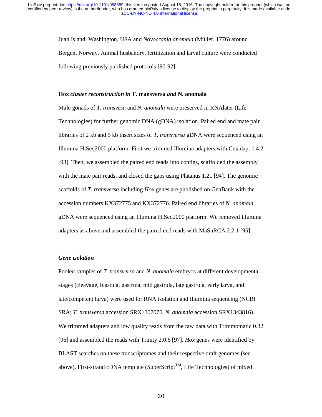Juan Island, Washington, USA and *Novocrania anomala* (Müller, 1776) around Bergen, Norway. Animal husbandry, fertilization and larval culture were conducted following previously published protocols [90-92].

#### **Hox** *cluster reconstruction in* **T. transversa** *and* **N. anomala**

Male gonads of *T. transvesa* and *N. anomala* were preserved in RNAlater (Life Technologies) for further genomic DNA (gDNA) isolation. Paired end and mate pair libraries of 2 kb and 5 kb insert sizes of *T. transversa* gDNA were sequenced using an Illumina HiSeq2000 platform. First we trimmed Illumina adapters with Cutadapt 1.4.2 [93]. Then, we assembled the paired end reads into contigs, scaffolded the assembly with the mate pair reads, and closed the gaps using Platanus 1.21 [94]. The genomic scaffolds of *T. transversa* including *Hox* genes are published on GenBank with the accession numbers KX372775 and KX372776. Paired end libraries of *N. anomala* gDNA were sequenced using an Illumina HiSeq2000 platform. We removed Illumina adapters as above and assembled the paired end reads with MaSuRCA 2.2.1 [95].

## *Gene isolation*

Pooled samples of *T. transversa* and *N. anomala* embryos at different developmental stages (cleavage, blastula, gastrula, mid gastrula, late gastrula, early larva, and late/competent larva) were used for RNA isolation and Illumina sequencing (NCBI SRA; *T. transversa* accession SRX1307070, *N. anomala* accession SRX1343816). We trimmed adapters and low quality reads from the raw data with Trimmomatic 0.32 [96] and assembled the reads with Trinity 2.0.6 [97]. *Hox* genes were identified by BLAST searches on these transcriptomes and their respective draft genomes (see above). First-strand cDNA template (SuperScript<sup>TM</sup>, Life Technologies) of mixed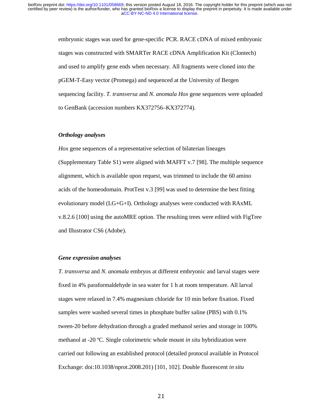embryonic stages was used for gene-specific PCR. RACE cDNA of mixed embryonic stages was constructed with SMARTer RACE cDNA Amplification Kit (Clontech) and used to amplify gene ends when necessary. All fragments were cloned into the pGEM-T-Easy vector (Promega) and sequenced at the University of Bergen sequencing facility. *T. transversa* and *N. anomala Hox* gene sequences were uploaded to GenBank (accession numbers KX372756–KX372774).

#### *Orthology analyses*

*Hox* gene sequences of a representative selection of bilaterian lineages (Supplementary Table S1) were aligned with MAFFT v.7 [98]. The multiple sequence alignment, which is available upon request, was trimmed to include the 60 amino acids of the homeodomain. ProtTest v.3 [99] was used to determine the best fitting evolutionary model (LG+G+I). Orthology analyses were conducted with RAxML v.8.2.6 [100] using the autoMRE option. The resulting trees were edited with FigTree and Illustrator CS6 (Adobe).

## *Gene expression analyses*

*T. transversa* and *N. anomala* embryos at different embryonic and larval stages were fixed in 4% paraformaldehyde in sea water for 1 h at room temperature. All larval stages were relaxed in 7.4% magnesium chloride for 10 min before fixation. Fixed samples were washed several times in phosphate buffer saline (PBS) with 0.1% tween-20 before dehydration through a graded methanol series and storage in 100% methanol at -20 ºC. Single colorimetric whole mount *in situ* hybridization were carried out following an established protocol (detailed protocol available in Protocol Exchange: doi:10.1038/nprot.2008.201) [101, 102]. Double fluorescent *in situ*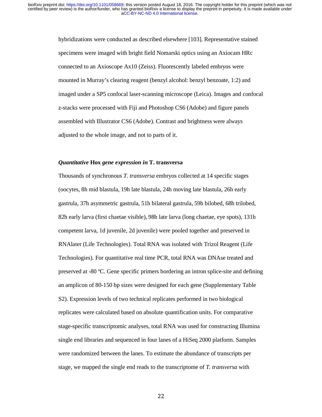hybridizations were conducted as described elsewhere [103]. Representative stained specimens were imaged with bright field Nomarski optics using an Axiocam HRc connected to an Axioscope Ax10 (Zeiss). Fluorescently labeled embryos were mounted in Murray's clearing reagent (benzyl alcohol: benzyl benzoate, 1:2) and imaged under a SP5 confocal laser-scanning microscope (Leica). Images and confocal z-stacks were processed with Fiji and Photoshop CS6 (Adobe) and figure panels assembled with Illustrator CS6 (Adobe). Contrast and brightness were always adjusted to the whole image, and not to parts of it.

## *Quantitative* **Hox** *gene expression in* **T. transversa**

Thousands of synchronous *T. transversa* embryos collected at 14 specific stages (oocytes, 8h mid blastula, 19h late blastula, 24h moving late blastula, 26h early gastrula, 37h asymmetric gastrula, 51h bilateral gastrula, 59h bilobed, 68h trilobed, 82h early larva (first chaetae visible), 98h late larva (long chaetae, eye spots), 131h competent larva, 1d juvenile, 2d juvenile) were pooled together and preserved in RNAlater (Life Technologies). Total RNA was isolated with Trizol Reagent (Life Technologies). For quantitative real time PCR, total RNA was DNAse treated and preserved at -80 ºC. Gene specific primers bordering an intron splice-site and defining an amplicon of 80-150 bp sizes were designed for each gene (Supplementary Table S2). Expression levels of two technical replicates performed in two biological replicates were calculated based on absolute quantification units. For comparative stage-specific transcriptomic analyses, total RNA was used for constructing Illumina single end libraries and sequenced in four lanes of a HiSeq 2000 platform. Samples were randomized between the lanes. To estimate the abundance of transcripts per stage, we mapped the single end reads to the transcriptome of *T. transversa* with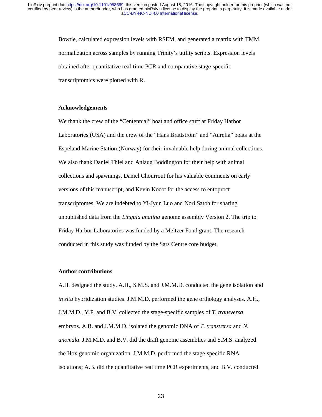Bowtie, calculated expression levels with RSEM, and generated a matrix with TMM normalization across samples by running Trinity's utility scripts. Expression levels obtained after quantitative real-time PCR and comparative stage-specific transcriptomics were plotted with R.

#### **Acknowledgements**

We thank the crew of the "Centennial" boat and office stuff at Friday Harbor Laboratories (USA) and the crew of the "Hans Brattström" and "Aurelia" boats at the Espeland Marine Station (Norway) for their invaluable help during animal collections. We also thank Daniel Thiel and Anlaug Boddington for their help with animal collections and spawnings, Daniel Chourrout for his valuable comments on early versions of this manuscript, and Kevin Kocot for the access to entoproct transcriptomes. We are indebted to Yi-Jyun Luo and Nori Satoh for sharing unpublished data from the *Lingula anatina* genome assembly Version 2. The trip to Friday Harbor Laboratories was funded by a Meltzer Fond grant. The research conducted in this study was funded by the Sars Centre core budget.

#### **Author contributions**

A.H. designed the study. A.H., S.M.S. and J.M.M.D. conducted the gene isolation and *in situ* hybridization studies. J.M.M.D. performed the gene orthology analyses. A.H., J.M.M.D., Y.P. and B.V. collected the stage-specific samples of *T. transversa* embryos. A.B. and J.M.M.D. isolated the genomic DNA of *T. transversa* and *N. anomala*. J.M.M.D. and B.V. did the draft genome assemblies and S.M.S. analyzed the Hox genomic organization. J.M.M.D. performed the stage-specific RNA isolations; A.B. did the quantitative real time PCR experiments, and B.V. conducted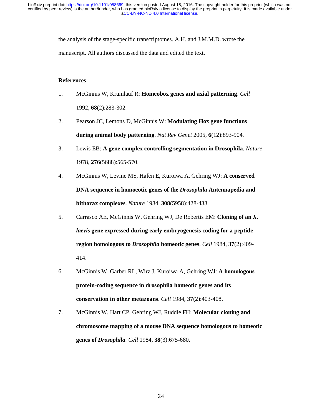the analysis of the stage-specific transcriptomes. A.H. and J.M.M.D. wrote the manuscript. All authors discussed the data and edited the text.

## **References**

- 1. McGinnis W, Krumlauf R: **Homeobox genes and axial patterning**. *Cell*  1992, **68**(2):283-302.
- 2. Pearson JC, Lemons D, McGinnis W: **Modulating Hox gene functions during animal body patterning**. *Nat Rev Genet* 2005, **6**(12):893-904.
- 3. Lewis EB: **A gene complex controlling segmentation in Drosophila**. *Nature*  1978, **276**(5688):565-570.
- 4. McGinnis W, Levine MS, Hafen E, Kuroiwa A, Gehring WJ: **A conserved DNA sequence in homoeotic genes of the** *Drosophila* **Antennapedia and bithorax complexes**. *Nature* 1984, **308**(5958):428-433.
- 5. Carrasco AE, McGinnis W, Gehring WJ, De Robertis EM: **Cloning of an** *X. laevis* **gene expressed during early embryogenesis coding for a peptide region homologous to** *Drosophila* **homeotic genes**. *Cell* 1984, **37**(2):409- 414.
- 6. McGinnis W, Garber RL, Wirz J, Kuroiwa A, Gehring WJ: **A homologous protein-coding sequence in drosophila homeotic genes and its conservation in other metazoans**. *Cell* 1984, **37**(2):403-408.
- 7. McGinnis W, Hart CP, Gehring WJ, Ruddle FH: **Molecular cloning and chromosome mapping of a mouse DNA sequence homologous to homeotic genes of** *Drosophila*. *Cell* 1984, **38**(3):675-680.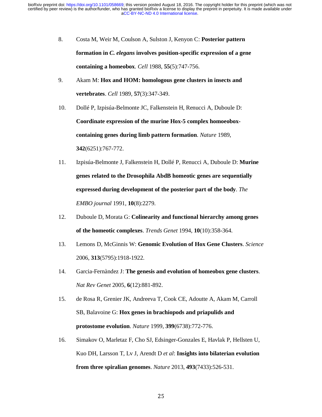- 8. Costa M, Weir M, Coulson A, Sulston J, Kenyon C: **Posterior pattern formation in** *C. elegans* **involves position-specific expression of a gene containing a homeobox**. *Cell* 1988, **55**(5):747-756.
- 9. Akam M: **Hox and HOM: homologous gene clusters in insects and vertebrates**. *Cell* 1989, **57**(3):347-349.
- 10. Dollé P, Izpisúa-Belmonte JC, Falkenstein H, Renucci A, Duboule D: **Coordinate expression of the murine Hox-5 complex homoeoboxcontaining genes during limb pattern formation**. *Nature* 1989, **342**(6251):767-772.
- 11. Izpisúa-Belmonte J, Falkenstein H, Dollé P, Renucci A, Duboule D: **Murine genes related to the Drosophila AbdB homeotic genes are sequentially expressed during development of the posterior part of the body**. *The EMBO journal* 1991, **10**(8):2279.
- 12. Duboule D, Morata G: **Colinearity and functional hierarchy among genes of the homeotic complexes**. *Trends Genet* 1994, **10**(10):358-364.
- 13. Lemons D, McGinnis W: **Genomic Evolution of Hox Gene Clusters**. *Science*  2006, **313**(5795):1918-1922.
- 14. Garcia-Fernàndez J: **The genesis and evolution of homeobox gene clusters**. *Nat Rev Genet* 2005, **6**(12):881-892.
- 15. de Rosa R, Grenier JK, Andreeva T, Cook CE, Adoutte A, Akam M, Carroll SB, Balavoine G: **Hox genes in brachiopods and priapulids and protostome evolution**. *Nature* 1999, **399**(6738):772-776.
- 16. Simakov O, Marletaz F, Cho SJ, Edsinger-Gonzales E, Havlak P, Hellsten U, Kuo DH, Larsson T, Lv J, Arendt D *et al*: **Insights into bilaterian evolution from three spiralian genomes**. *Nature* 2013, **493**(7433):526-531.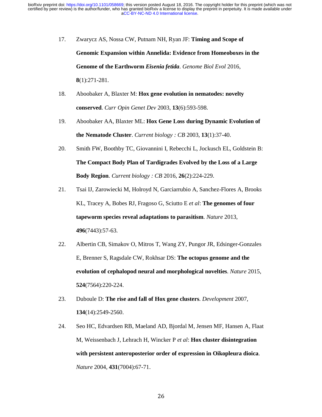- 17. Zwarycz AS, Nossa CW, Putnam NH, Ryan JF: **Timing and Scope of Genomic Expansion within Annelida: Evidence from Homeoboxes in the Genome of the Earthworm** *Eisenia fetida*. *Genome Biol Evol* 2016, **8**(1):271-281.
- 18. Aboobaker A, Blaxter M: **Hox gene evolution in nematodes: novelty conserved**. *Curr Opin Genet Dev* 2003, **13**(6):593-598.
- 19. Aboobaker AA, Blaxter ML: **Hox Gene Loss during Dynamic Evolution of the Nematode Cluster**. *Current biology : CB* 2003, **13**(1):37-40.
- 20. Smith FW, Boothby TC, Giovannini I, Rebecchi L, Jockusch EL, Goldstein B: **The Compact Body Plan of Tardigrades Evolved by the Loss of a Large Body Region**. *Current biology : CB* 2016, **26**(2):224-229.
- 21. Tsai IJ, Zarowiecki M, Holroyd N, Garciarrubio A, Sanchez-Flores A, Brooks KL, Tracey A, Bobes RJ, Fragoso G, Sciutto E *et al*: **The genomes of four tapeworm species reveal adaptations to parasitism**. *Nature* 2013, **496**(7443):57-63.
- 22. Albertin CB, Simakov O, Mitros T, Wang ZY, Pungor JR, Edsinger-Gonzales E, Brenner S, Ragsdale CW, Rokhsar DS: **The octopus genome and the evolution of cephalopod neural and morphological novelties**. *Nature* 2015, **524**(7564):220-224.
- 23. Duboule D: **The rise and fall of Hox gene clusters**. *Development* 2007, **134**(14):2549-2560.
- 24. Seo HC, Edvardsen RB, Maeland AD, Bjordal M, Jensen MF, Hansen A, Flaat M, Weissenbach J, Lehrach H, Wincker P *et al*: **Hox cluster disintegration with persistent anteroposterior order of expression in Oikopleura dioica**. *Nature* 2004, **431**(7004):67-71.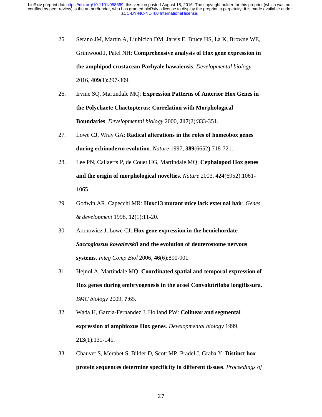- 25. Serano JM, Martin A, Liubicich DM, Jarvis E, Bruce HS, La K, Browne WE, Grimwood J, Patel NH: **Comprehensive analysis of Hox gene expression in the amphipod crustacean Parhyale hawaiensis**. *Developmental biology*  2016, **409**(1):297-309.
- 26. Irvine SQ, Martindale MQ: **Expression Patterns of Anterior Hox Genes in the Polychaete Chaetopterus: Correlation with Morphological Boundaries**. *Developmental biology* 2000, **217**(2):333-351.
- 27. Lowe CJ, Wray GA: **Radical alterations in the roles of homeobox genes during echinoderm evolution**. *Nature* 1997, **389**(6652):718-721.
- 28. Lee PN, Callaerts P, de Couet HG, Martindale MQ: **Cephalopod Hox genes and the origin of morphological novelties**. *Nature* 2003, **424**(6952):1061- 1065.
- 29. Godwin AR, Capecchi MR: **Hoxc13 mutant mice lack external hair**. *Genes & development* 1998, **12**(1):11-20.
- 30. Aronowicz J, Lowe CJ: **Hox gene expression in the hemichordate**  *Saccoglossus kowalevskii* **and the evolution of deuterostome nervous systems**. *Integ Comp Biol* 2006, **46**(6):890-901.
- 31. Hejnol A, Martindale MQ: **Coordinated spatial and temporal expression of Hox genes during embryogenesis in the acoel Convolutriloba longifissura**. *BMC biology* 2009, **7**:65.
- 32. Wada H, Garcia-Fernandez J, Holland PW: **Colinear and segmental expression of amphioxus Hox genes**. *Developmental biology* 1999, **213**(1):131-141.
- 33. Chauvet S, Merabet S, Bilder D, Scott MP, Pradel J, Graba Y: **Distinct hox protein sequences determine specificity in different tissues**. *Proceedings of*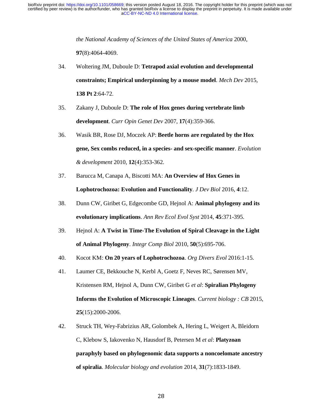*the National Academy of Sciences of the United States of America* 2000,

**97**(8):4064-4069.

- 34. Woltering JM, Duboule D: **Tetrapod axial evolution and developmental constraints; Empirical underpinning by a mouse model**. *Mech Dev* 2015, **138 Pt 2**:64-72.
- 35. Zakany J, Duboule D: **The role of Hox genes during vertebrate limb development**. *Curr Opin Genet Dev* 2007, **17**(4):359-366.
- 36. Wasik BR, Rose DJ, Moczek AP: **Beetle horns are regulated by the Hox gene, Sex combs reduced, in a species- and sex-specific manner**. *Evolution & development* 2010, **12**(4):353-362.
- 37. Barucca M, Canapa A, Biscotti MA: **An Overview of Hox Genes in Lophotrochozoa: Evolution and Functionality**. *J Dev Biol* 2016, **4**:12.
- 38. Dunn CW, Giribet G, Edgecombe GD, Hejnol A: **Animal phylogeny and its evolutionary implications**. *Ann Rev Ecol Evol Syst* 2014, **45**:371-395.
- 39. Hejnol A: **A Twist in Time-The Evolution of Spiral Cleavage in the Light of Animal Phylogeny**. *Integr Comp Biol* 2010, **50**(5):695-706.
- 40. Kocot KM: **On 20 years of Lophotrochozoa**. *Org Divers Evol* 2016:1-15.
- 41. Laumer CE, Bekkouche N, Kerbl A, Goetz F, Neves RC, Sørensen MV, Kristensen RM, Hejnol A, Dunn CW, Giribet G *et al*: **Spiralian Phylogeny Informs the Evolution of Microscopic Lineages**. *Current biology : CB* 2015, **25**(15):2000-2006.
- 42. Struck TH, Wey-Fabrizius AR, Golombek A, Hering L, Weigert A, Bleidorn C, Klebow S, Iakovenko N, Hausdorf B, Petersen M *et al*: **Platyzoan paraphyly based on phylogenomic data supports a noncoelomate ancestry of spiralia**. *Molecular biology and evolution* 2014, **31**(7):1833-1849.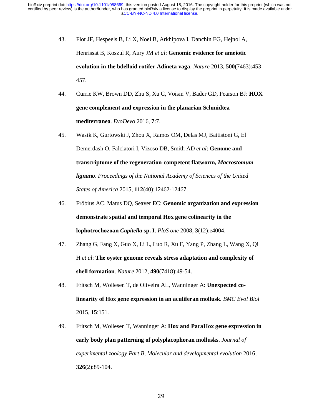- 43. Flot JF, Hespeels B, Li X, Noel B, Arkhipova I, Danchin EG, Hejnol A, Henrissat B, Koszul R, Aury JM *et al*: **Genomic evidence for ameiotic evolution in the bdelloid rotifer Adineta vaga**. *Nature* 2013, **500**(7463):453- 457.
- 44. Currie KW, Brown DD, Zhu S, Xu C, Voisin V, Bader GD, Pearson BJ: **HOX gene complement and expression in the planarian Schmidtea mediterranea**. *EvoDevo* 2016, **7**:7.
- 45. Wasik K, Gurtowski J, Zhou X, Ramos OM, Delas MJ, Battistoni G, El Demerdash O, Falciatori I, Vizoso DB, Smith AD *et al*: **Genome and transcriptome of the regeneration-competent flatworm,** *Macrostomum lignano*. *Proceedings of the National Academy of Sciences of the United States of America* 2015, **112**(40):12462-12467.
- 46. Fröbius AC, Matus DQ, Seaver EC: **Genomic organization and expression demonstrate spatial and temporal Hox gene colinearity in the lophotrochozoan** *Capitella* **sp. I**. *PloS one* 2008, **3**(12):e4004.
- 47. Zhang G, Fang X, Guo X, Li L, Luo R, Xu F, Yang P, Zhang L, Wang X, Qi H *et al*: **The oyster genome reveals stress adaptation and complexity of shell formation**. *Nature* 2012, **490**(7418):49-54.
- 48. Fritsch M, Wollesen T, de Oliveira AL, Wanninger A: **Unexpected colinearity of Hox gene expression in an aculiferan mollusk**. *BMC Evol Biol*  2015, **15**:151.
- 49. Fritsch M, Wollesen T, Wanninger A: **Hox and ParaHox gene expression in early body plan patterning of polyplacophoran mollusks**. *Journal of experimental zoology Part B, Molecular and developmental evolution* 2016, **326**(2):89-104.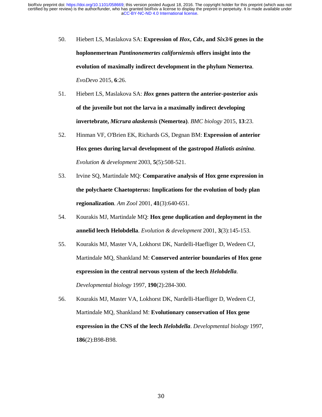- 50. Hiebert LS, Maslakova SA: **Expression of** *Hox***,** *Cdx***, and** *Six3/6* **genes in the hoplonemertean** *Pantinonemertes californiensis* **offers insight into the evolution of maximally indirect development in the phylum Nemertea**. *EvoDevo* 2015, **6**:26.
- 51. Hiebert LS, Maslakova SA: *Hox* **genes pattern the anterior-posterior axis of the juvenile but not the larva in a maximally indirect developing invertebrate,** *Micrura alaskensis* **(Nemertea)**. *BMC biology* 2015, **13**:23.
- 52. Hinman VF, O'Brien EK, Richards GS, Degnan BM: **Expression of anterior Hox genes during larval development of the gastropod** *Haliotis asinina*. *Evolution & development* 2003, **5**(5):508-521.
- 53. Irvine SQ, Martindale MQ: **Comparative analysis of Hox gene expression in the polychaete Chaetopterus: Implications for the evolution of body plan regionalization**. *Am Zool* 2001, **41**(3):640-651.
- 54. Kourakis MJ, Martindale MQ: **Hox gene duplication and deployment in the annelid leech Helobdella**. *Evolution & development* 2001, **3**(3):145-153.
- 55. Kourakis MJ, Master VA, Lokhorst DK, Nardelli-Haefliger D, Wedeen CJ, Martindale MQ, Shankland M: **Conserved anterior boundaries of Hox gene expression in the central nervous system of the leech** *Helobdella*. *Developmental biology* 1997, **190**(2):284-300.
- 56. Kourakis MJ, Master VA, Lokhorst DK, Nardelli-Haefliger D, Wedeen CJ, Martindale MQ, Shankland M: **Evolutionary conservation of Hox gene expression in the CNS of the leech** *Helobdella*. *Developmental biology* 1997, **186**(2):B98-B98.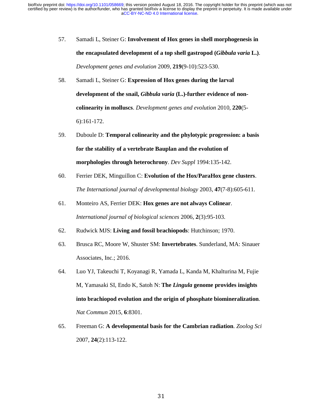- 57. Samadi L, Steiner G: **Involvement of Hox genes in shell morphogenesis in the encapsulated development of a top shell gastropod (***Gibbula varia* **L.)**. *Development genes and evolution* 2009, **219**(9-10):523-530.
- 58. Samadi L, Steiner G: **Expression of Hox genes during the larval development of the snail,** *Gibbula varia* **(L.)-further evidence of noncolinearity in molluscs**. *Development genes and evolution* 2010, **220**(5- 6):161-172.
- 59. Duboule D: **Temporal colinearity and the phylotypic progression: a basis for the stability of a vertebrate Bauplan and the evolution of morphologies through heterochrony**. *Dev Suppl* 1994:135-142.
- 60. Ferrier DEK, Minguillon C: **Evolution of the Hox/ParaHox gene clusters**. *The International journal of developmental biology* 2003, **47**(7-8):605-611.
- 61. Monteiro AS, Ferrier DEK: **Hox genes are not always Colinear**. *International journal of biological sciences* 2006, **2**(3):95-103.
- 62. Rudwick MJS: **Living and fossil brachiopods**: Hutchinson; 1970.
- 63. Brusca RC, Moore W, Shuster SM: **Invertebrates**. Sunderland, MA: Sinauer Associates, Inc.; 2016.
- 64. Luo YJ, Takeuchi T, Koyanagi R, Yamada L, Kanda M, Khalturina M, Fujie M, Yamasaki SI, Endo K, Satoh N: **The** *Lingula* **genome provides insights into brachiopod evolution and the origin of phosphate biomineralization**. *Nat Commun* 2015, **6**:8301.
- 65. Freeman G: **A developmental basis for the Cambrian radiation**. *Zoolog Sci*  2007, **24**(2):113-122.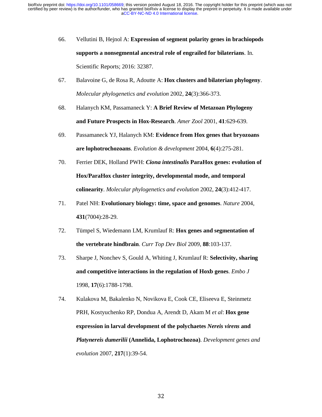- 66. Vellutini B, Hejnol A: **Expression of segment polarity genes in brachiopods supports a nonsegmental ancestral role of engrailed for bilaterians**. In*.* Scientific Reports; 2016: 32387.
- 67. Balavoine G, de Rosa R, Adoutte A: **Hox clusters and bilaterian phylogeny**. *Molecular phylogenetics and evolution* 2002, **24**(3):366-373.
- 68. Halanych KM, Passamaneck Y: **A Brief Review of Metazoan Phylogeny and Future Prospects in Hox-Research**. *Amer Zool* 2001, **41**:629-639.
- 69. Passamaneck YJ, Halanych KM: **Evidence from Hox genes that bryozoans are lophotrochozoans**. *Evolution & development* 2004, **6**(4):275-281.
- 70. Ferrier DEK, Holland PWH: *Ciona intestinalis* **ParaHox genes: evolution of Hox/ParaHox cluster integrity, developmental mode, and temporal colinearity**. *Molecular phylogenetics and evolution* 2002, **24**(3):412-417.
- 71. Patel NH: **Evolutionary biology: time, space and genomes**. *Nature* 2004, **431**(7004):28-29.
- 72. Tümpel S, Wiedemann LM, Krumlauf R: **Hox genes and segmentation of the vertebrate hindbrain**. *Curr Top Dev Biol* 2009, **88**:103-137.
- 73. Sharpe J, Nonchev S, Gould A, Whiting J, Krumlauf R: **Selectivity, sharing and competitive interactions in the regulation of Hoxb genes**. *Embo J*  1998, **17**(6):1788-1798.
- 74. Kulakova M, Bakalenko N, Novikova E, Cook CE, Eliseeva E, Steinmetz PRH, Kostyuchenko RP, Dondua A, Arendt D, Akam M *et al*: **Hox gene expression in larval development of the polychaetes** *Nereis virens* **and**  *Platynereis dumerilii* **(Annelida, Lophotrochozoa)**. *Development genes and evolution* 2007, **217**(1):39-54.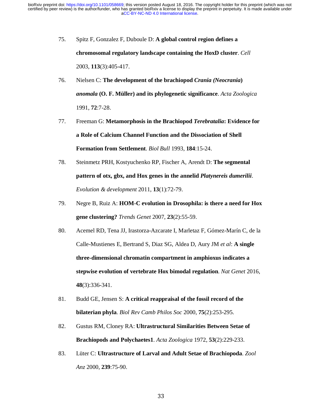- 75. Spitz F, Gonzalez F, Duboule D: **A global control region defines a chromosomal regulatory landscape containing the HoxD cluster**. *Cell*  2003, **113**(3):405-417.
- 76. Nielsen C: **The development of the brachiopod** *Crania (Neocrania***)**  *anomala* **(O. F. Müller) and its phylogenetic significance**. *Acta Zoologica*  1991, **72**:7-28.
- 77. Freeman G: **Metamorphosis in the Brachiopod** *Terebratalia***: Evidence for a Role of Calcium Channel Function and the Dissociation of Shell Formation from Settlement**. *Biol Bull* 1993, **184**:15-24.
- 78. Steinmetz PRH, Kostyuchenko RP, Fischer A, Arendt D: **The segmental pattern of otx, gbx, and Hox genes in the annelid** *Platynereis dumerilii*. *Evolution & development* 2011, **13**(1):72-79.
- 79. Negre B, Ruiz A: **HOM-C evolution in Drosophila: is there a need for Hox gene clustering?** *Trends Genet* 2007, **23**(2):55-59.
- 80. Acemel RD, Tena JJ, Irastorza-Azcarate I, Marletaz F, Gómez-Marín C, de la Calle-Mustienes E, Bertrand S, Diaz SG, Aldea D, Aury JM *et al*: **A single three-dimensional chromatin compartment in amphioxus indicates a stepwise evolution of vertebrate Hox bimodal regulation**. *Nat Genet* 2016, **48**(3):336-341.
- 81. Budd GE, Jensen S: **A critical reappraisal of the fossil record of the bilaterian phyla**. *Biol Rev Camb Philos Soc* 2000, **75**(2):253-295.
- 82. Gustus RM, Cloney RA: **Ultrastructural Similarities Between Setae of Brachiopods and Polychaetes1**. *Acta Zoologica* 1972, **53**(2):229-233.
- 83. Lüter C: **Ultrastructure of Larval and Adult Setae of Brachiopoda**. *Zool Anz* 2000, **239**:75-90.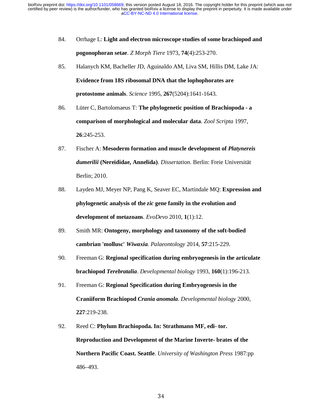- 84. Orrhage L: **Light and electron microscope studies of some brachiopod and pogonophoran setae**. *Z Morph Tiere* 1973, **74**(4):253-270.
- 85. Halanych KM, Bacheller JD, Aguinaldo AM, Liva SM, Hillis DM, Lake JA: **Evidence from 18S ribosomal DNA that the lophophorates are protostome animals**. *Science* 1995, **267**(5204):1641-1643.
- 86. Lüter C, Bartolomaeus T: **The phylogenetic position of Brachiopoda a comparison of morphological and molecular data**. *Zool Scripta* 1997, **26**:245-253.
- 87. Fischer A: **Mesoderm formation and muscle development of** *Platynereis dumerilii* **(Nereididae, Annelida)**. *Dissertation.* Berlin: Freie Universität Berlin; 2010.
- 88. Layden MJ, Meyer NP, Pang K, Seaver EC, Martindale MQ: **Expression and phylogenetic analysis of the** *zic* **gene family in the evolution and development of metazoans**. *EvoDevo* 2010, **1**(1):12.
- 89. Smith MR: **Ontogeny, morphology and taxonomy of the soft-bodied cambrian 'mollusc'** *Wiwaxia*. *Palaeontology* 2014, **57**:215-229.
- 90. Freeman G: **Regional specification during embryogenesis in the articulate brachiopod** *Terebratalia*. *Developmental biology* 1993, **160**(1):196-213.
- 91. Freeman G: **Regional Specification during Embryogenesis in the Craniiform Brachiopod** *Crania anomala*. *Developmental biology* 2000, **227**:219-238.
- 92. Reed C: **Phylum Brachiopoda. In: Strathmann MF, edi- tor. Reproduction and Development of the Marine Inverte- brates of the Northern Pacific Coast. Seattle**. *University of Washington Press* 1987:pp 486–493.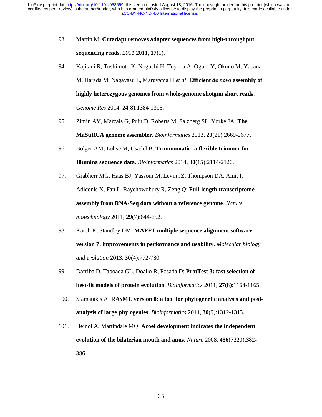- 93. Martin M: **Cutadapt removes adapter sequences from high-throughput sequencing reads**. *2011* 2011, **17**(1).
- 94. Kajitani R, Toshimoto K, Noguchi H, Toyoda A, Ogura Y, Okuno M, Yabana M, Harada M, Nagayasu E, Maruyama H *et al*: **Efficient** *de novo* **assembly of highly heterozygous genomes from whole-genome shotgun short reads**. *Genome Res* 2014, **24**(8):1384-1395.
- 95. Zimin AV, Marcais G, Puiu D, Roberts M, Salzberg SL, Yorke JA: **The MaSuRCA genome assembler**. *Bioinformatics* 2013, **29**(21):2669-2677.
- 96. Bolger AM, Lohse M, Usadel B: **Trimmomatic: a flexible trimmer for Illumina sequence data**. *Bioinformatics* 2014, **30**(15):2114-2120.
- 97. Grabherr MG, Haas BJ, Yassour M, Levin JZ, Thompson DA, Amit I, Adiconis X, Fan L, Raychowdhury R, Zeng Q: **Full-length transcriptome assembly from RNA-Seq data without a reference genome**. *Nature biotechnology* 2011, **29**(7):644-652.
- 98. Katoh K, Standley DM: **MAFFT multiple sequence alignment software version 7: improvements in performance and usability**. *Molecular biology and evolution* 2013, **30**(4):772-780.
- 99. Darriba D, Taboada GL, Doallo R, Posada D: **ProtTest 3: fast selection of best-fit models of protein evolution**. *Bioinformatics* 2011, **27**(8):1164-1165.
- 100. Stamatakis A: **RAxML version 8: a tool for phylogenetic analysis and postanalysis of large phylogenies**. *Bioinformatics* 2014, **30**(9):1312-1313.
- 101. Hejnol A, Martindale MQ: **Acoel development indicates the independent evolution of the bilaterian mouth and anus**. *Nature* 2008, **456**(7220):382- 386.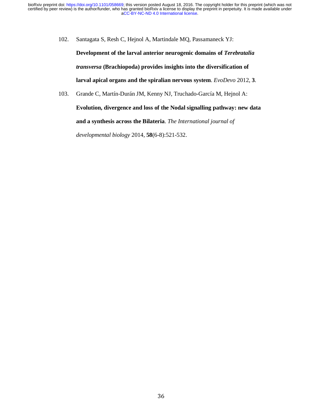102. Santagata S, Resh C, Hejnol A, Martindale MQ, Passamaneck YJ:

**Development of the larval anterior neurogenic domains of** *Terebratalia transversa* **(Brachiopoda) provides insights into the diversification of larval apical organs and the spiralian nervous system**. *EvoDevo* 2012, **3**.

103. Grande C, Martín-Durán JM, Kenny NJ, Truchado-García M, Hejnol A: **Evolution, divergence and loss of the Nodal signalling pathway: new data and a synthesis across the Bilateria**. *The International journal of* 

*developmental biology* 2014, **58**(6-8):521-532.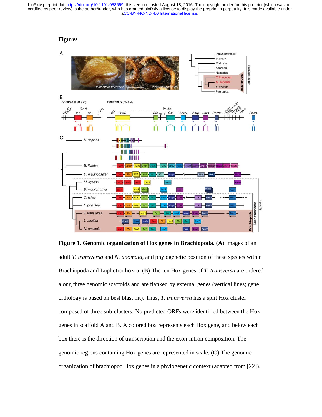#### **Figures**



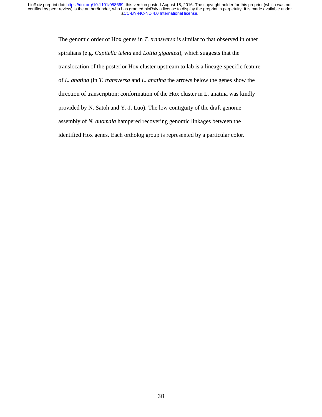The genomic order of Hox genes in *T. transversa* is similar to that observed in other spiralians (e.g. *Capitella teleta* and *Lottia gigantea*), which suggests that the translocation of the posterior Hox cluster upstream to lab is a lineage-specific feature of *L. anatina* (in *T. transversa* and *L. anatina* the arrows below the genes show the direction of transcription; conformation of the Hox cluster in L. anatina was kindly provided by N. Satoh and Y.-J. Luo). The low contiguity of the draft genome assembly of *N. anomala* hampered recovering genomic linkages between the identified Hox genes. Each ortholog group is represented by a particular color.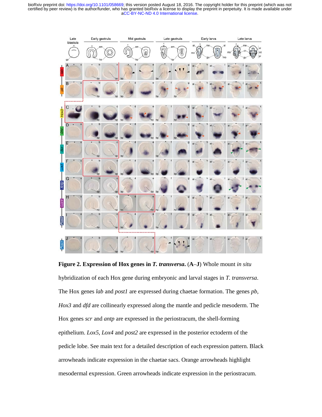

**Figure 2. Expression of Hox genes in** *T. transversa***.** (**A**–**J**) Whole mount *in situ* hybridization of each Hox gene during embryonic and larval stages in *T. transversa*. The Hox genes *lab* and *post1* are expressed during chaetae formation. The genes *pb*, *Hox3* and *dfd* are collinearly expressed along the mantle and pedicle mesoderm. The Hox genes *scr* and *antp* are expressed in the periostracum, the shell-forming epithelium. *Lox5*, *Lox4* and *post2* are expressed in the posterior ectoderm of the pedicle lobe. See main text for a detailed description of each expression pattern. Black arrowheads indicate expression in the chaetae sacs. Orange arrowheads highlight mesodermal expression. Green arrowheads indicate expression in the periostracum.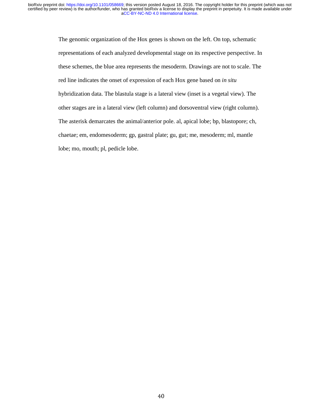The genomic organization of the Hox genes is shown on the left. On top, schematic representations of each analyzed developmental stage on its respective perspective. In these schemes, the blue area represents the mesoderm. Drawings are not to scale. The red line indicates the onset of expression of each Hox gene based on *in situ* hybridization data. The blastula stage is a lateral view (inset is a vegetal view). The other stages are in a lateral view (left column) and dorsoventral view (right column). The asterisk demarcates the animal/anterior pole. al, apical lobe; bp, blastopore; ch, chaetae; em, endomesoderm; gp, gastral plate; gu, gut; me, mesoderm; ml, mantle lobe; mo, mouth; pl, pedicle lobe.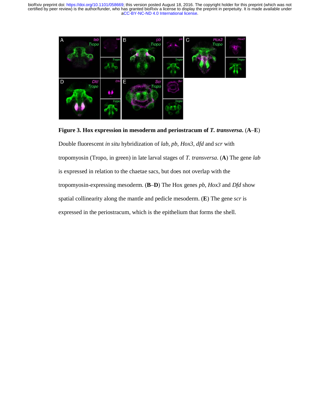



Double fluorescent *in situ* hybridization of *lab*, *pb*, *Hox3*, *dfd* and *scr* with tropomyosin (Tropo, in green) in late larval stages of *T. transversa*. (**A**) The gene *lab* is expressed in relation to the chaetae sacs, but does not overlap with the tropomyosin-expressing mesoderm. (**B**–**D**) The Hox genes *pb*, *Hox3* and *Dfd* show spatial collinearity along the mantle and pedicle mesoderm. (**E**) The gene *scr* is expressed in the periostracum, which is the epithelium that forms the shell.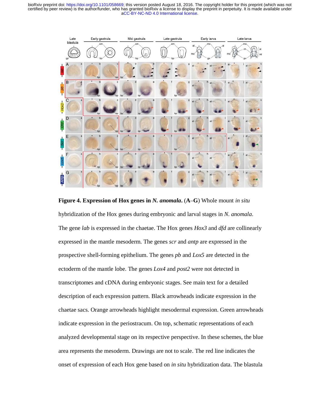

**Figure 4. Expression of Hox genes in** *N. anomala***.** (**A**–**G**) Whole mount *in situ* hybridization of the Hox genes during embryonic and larval stages in *N. anomala*. The gene *lab* is expressed in the chaetae. The Hox genes *Hox3* and *dfd* are collinearly expressed in the mantle mesoderm. The genes *scr* and *antp* are expressed in the prospective shell-forming epithelium. The genes *pb* and *Lox5* are detected in the ectoderm of the mantle lobe. The genes *Lox4* and *post2* were not detected in transcriptomes and cDNA during embryonic stages. See main text for a detailed description of each expression pattern. Black arrowheads indicate expression in the chaetae sacs. Orange arrowheads highlight mesodermal expression. Green arrowheads indicate expression in the periostracum. On top, schematic representations of each analyzed developmental stage on its respective perspective. In these schemes, the blue area represents the mesoderm. Drawings are not to scale. The red line indicates the onset of expression of each Hox gene based on *in situ* hybridization data. The blastula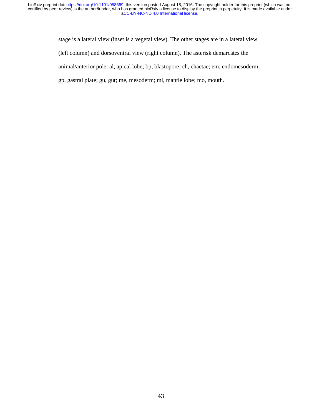stage is a lateral view (inset is a vegetal view). The other stages are in a lateral view (left column) and dorsoventral view (right column). The asterisk demarcates the animal/anterior pole. al, apical lobe; bp, blastopore; ch, chaetae; em, endomesoderm; gp, gastral plate; gu, gut; me, mesoderm; ml, mantle lobe; mo, mouth.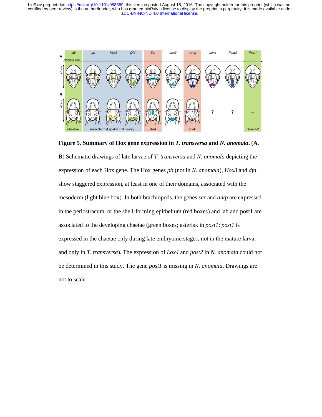

**Figure 5. Summary of Hox gene expression in** *T. transversa* **and** *N. anomala***.** (**A**, **B**) Schematic drawings of late larvae of *T. transversa* and *N. anomala* depicting the expression of each Hox gene. The Hox genes *pb* (not in *N. anomala*), *Hox3* and *dfd* show staggered expression, at least in one of their domains, associated with the mesoderm (light blue box). In both brachiopods, the genes *scr* and *antp* are expressed in the periostracum, or the shell-forming epithelium (red boxes) and lab and post1 are associated to the developing chaetae (green boxes; asterisk in *post1*: *post1* is expressed in the chaetae only during late embryonic stages, not in the mature larva, and only in *T. transversa*). The expression of *Lox4* and *post2* in *N. anomala* could not be determined in this study. The gene *post1* is missing in *N. anomala*. Drawings are not to scale.